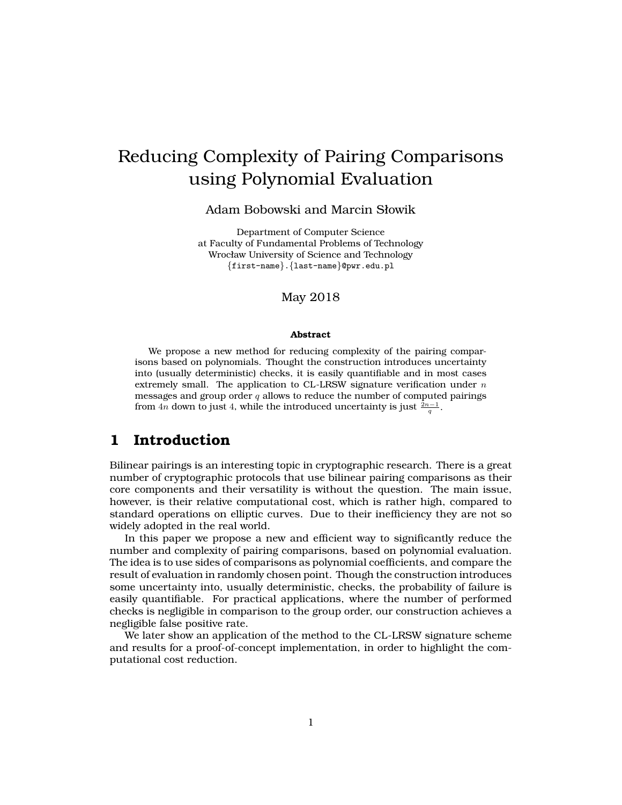# Reducing Complexity of Pairing Comparisons using Polynomial Evaluation

#### Adam Bobowski and Marcin Słowik

Department of Computer Science at Faculty of Fundamental Problems of Technology Wrocław University of Science and Technology {first-name}.{last-name}@pwr.edu.pl

May 2018

#### **Abstract**

We propose a new method for reducing complexity of the pairing comparisons based on polynomials. Thought the construction introduces uncertainty into (usually deterministic) checks, it is easily quantifiable and in most cases extremely small. The application to CL-LRSW signature verification under  $n$ messages and group order  $q$  allows to reduce the number of computed pairings from 4n down to just 4, while the introduced uncertainty is just  $\frac{2n-1}{q}$ .

### **1 Introduction**

Bilinear pairings is an interesting topic in cryptographic research. There is a great number of cryptographic protocols that use bilinear pairing comparisons as their core components and their versatility is without the question. The main issue, however, is their relative computational cost, which is rather high, compared to standard operations on elliptic curves. Due to their inefficiency they are not so widely adopted in the real world.

In this paper we propose a new and efficient way to significantly reduce the number and complexity of pairing comparisons, based on polynomial evaluation. The idea is to use sides of comparisons as polynomial coefficients, and compare the result of evaluation in randomly chosen point. Though the construction introduces some uncertainty into, usually deterministic, checks, the probability of failure is easily quantifiable. For practical applications, where the number of performed checks is negligible in comparison to the group order, our construction achieves a negligible false positive rate.

We later show an application of the method to the CL-LRSW signature scheme and results for a proof-of-concept implementation, in order to highlight the computational cost reduction.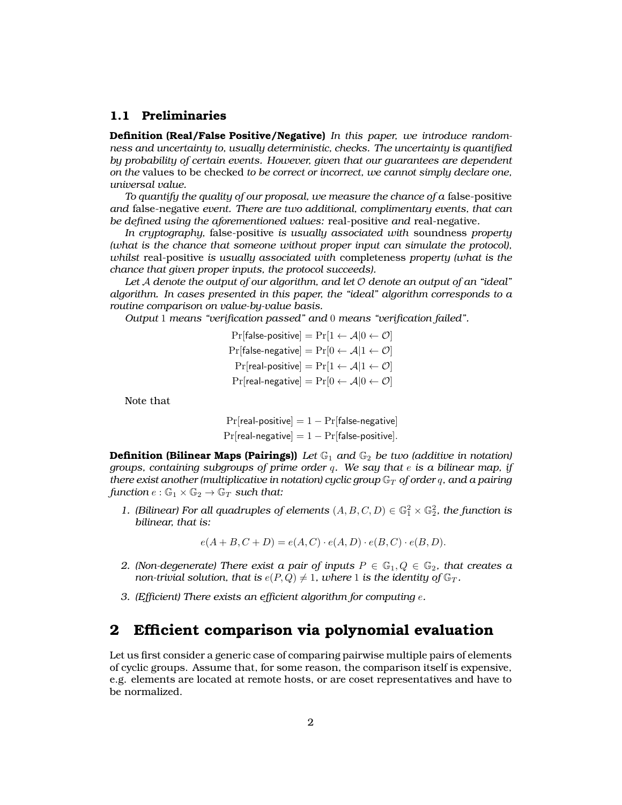#### **1.1 Preliminaries**

**Definition (Real/False Positive/Negative)** *In this paper, we introduce randomness and uncertainty to, usually deterministic, checks. The uncertainty is quantified by probability of certain events. However, given that our guarantees are dependent on the* values to be checked *to be correct or incorrect, we cannot simply declare one, universal value.*

*To quantify the quality of our proposal, we measure the chance of a* false-positive *and* false-negative *event. There are two additional, complimentary events, that can be defined using the aforementioned values:* real-positive *and* real-negative*.*

*In cryptography,* false-positive *is usually associated with* soundness *property (what is the chance that someone without proper input can simulate the protocol), whilst* real-positive *is usually associated with* completeness *property (what is the chance that given proper inputs, the protocol succeeds).*

*Let* A *denote the output of our algorithm, and let* O *denote an output of an "ideal" algorithm. In cases presented in this paper, the "ideal" algorithm corresponds to a routine comparison on value-by-value basis.*

*Output* 1 *means "verification passed" and* 0 *means "verification failed".*

 $Pr[false\text{-}positive] = Pr[1 \leftarrow A|0 \leftarrow \mathcal{O}]$ Pr[false-negative] =  $Pr[0 \leftarrow A | 1 \leftarrow \mathcal{O}]$  $Pr[real-positive] = Pr[1 \leftarrow A|1 \leftarrow O]$  $Pr[real-negative] = Pr[0 \leftarrow A|0 \leftarrow O]$ 

Note that

 $Pr[real-positive] = 1 - Pr[false-negative]$  $Pr[real-negative] = 1 - Pr[false-positive].$ 

**Definition (Bilinear Maps (Pairings))** *Let*  $\mathbb{G}_1$  *and*  $\mathbb{G}_2$  *be two (additive in notation) groups, containing subgroups of prime order* q*. We say that* e *is a bilinear map, if there exist another (multiplicative in notation) cyclic group*  $\mathbb{G}_T$  *of order* q, and a pairing *function*  $e : \mathbb{G}_1 \times \mathbb{G}_2 \to \mathbb{G}_T$  *such that:* 

1. (Bilinear) For all quadruples of elements  $(A, B, C, D) \in \mathbb{G}_1^2 \times \mathbb{G}_2^2$ , the function is *bilinear, that is:*

$$
e(A+B,C+D) = e(A,C) \cdot e(A,D) \cdot e(B,C) \cdot e(B,D).
$$

- *2. (Non-degenerate)* There exist a pair of inputs  $P \in \mathbb{G}_1, Q \in \mathbb{G}_2$ , that creates a *non-trivial solution, that is*  $e(P,Q) \neq 1$ *, where* 1 *is the identity of*  $\mathbb{G}_T$ *.*
- *3. (Efficient) There exists an efficient algorithm for computing* e*.*

### **2 Efficient comparison via polynomial evaluation**

Let us first consider a generic case of comparing pairwise multiple pairs of elements of cyclic groups. Assume that, for some reason, the comparison itself is expensive, e.g. elements are located at remote hosts, or are coset representatives and have to be normalized.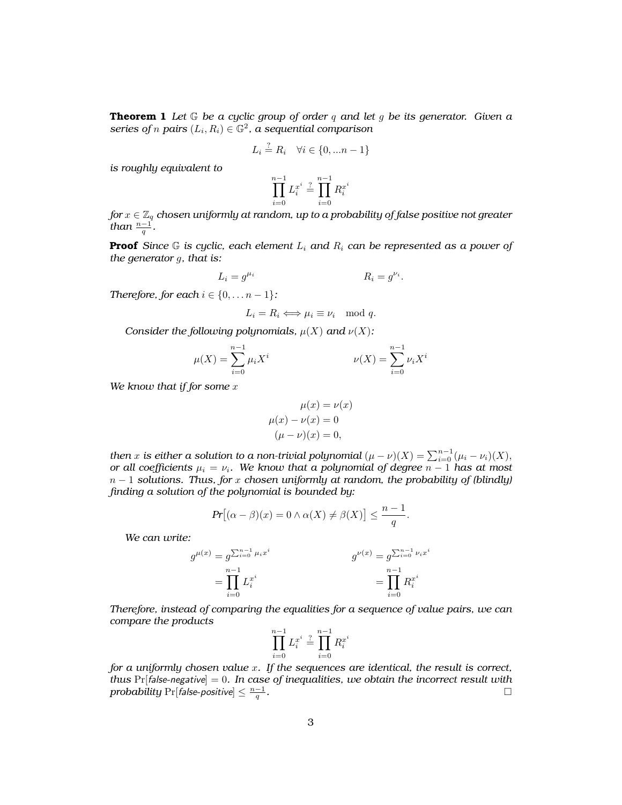**Theorem 1** *Let* G *be a cyclic group of order* q *and let* g *be its generator. Given a series of n pairs*  $(L_i, R_i) \in \mathbb{G}^2$ , a sequential comparison

$$
L_i \stackrel{?}{=} R_i \quad \forall i \in \{0, \dots n-1\}
$$

*is roughly equivalent to*

$$
\prod_{i=0}^{n-1} L_i^{x^i} \stackrel{?}{=} \prod_{i=0}^{n-1} R_i^{x^i}
$$

*for*  $x \in \mathbb{Z}_q$  *chosen uniformly at random, up to a probability of false positive not greater than*  $\frac{n-1}{q}$ .

**Proof** *Since* G *is cyclic, each element* L<sup>i</sup> *and* R<sup>i</sup> *can be represented as a power of the generator* g*, that is:*

$$
L_i = g^{\mu_i} \qquad R_i = g^{\nu_i}.
$$

*Therefore, for each*  $i \in \{0, \ldots n-1\}$ *:* 

$$
L_i = R_i \Longleftrightarrow \mu_i \equiv \nu_i \mod q.
$$

*Consider the following polynomials,*  $\mu(X)$  *and*  $\nu(X)$ *:* 

$$
\mu(X) = \sum_{i=0}^{n-1} \mu_i X^i \qquad \nu(X) = \sum_{i=0}^{n-1} \nu_i X^i
$$

*We know that if for some* x

$$
\mu(x) = \nu(x)
$$

$$
\mu(x) - \nu(x) = 0
$$

$$
(\mu - \nu)(x) = 0,
$$

*then*  $x$  is either a solution to a non-trivial polynomial  $(\mu - \nu)(X) = \sum_{i=0}^{n-1} (\mu_i - \nu_i)(X),$ *or all coefficients*  $\mu_i = \nu_i$ *. We know that a polynomial of degree*  $n - 1$  *has at most* n − 1 *solutions. Thus, for* x *chosen uniformly at random, the probability of (blindly) finding a solution of the polynomial is bounded by:*

$$
Pr[(\alpha - \beta)(x) = 0 \land \alpha(X) \neq \beta(X)] \leq \frac{n-1}{q}.
$$

*We can write:*

$$
g^{\mu(x)} = g^{\sum_{i=0}^{n-1} \mu_i x^i}
$$
  
= 
$$
\prod_{i=0}^{n-1} L_i^{x^i}
$$
  

$$
g^{\nu(x)} = g^{\sum_{i=0}^{n-1} \nu_i x^i}
$$
  
= 
$$
\prod_{i=0}^{n-1} R_i^{x^i}
$$

*Therefore, instead of comparing the equalities for a sequence of value pairs, we can compare the products*

$$
\prod_{i=0}^{n-1} L_i^{x^i} \stackrel{?}{=} \prod_{i=0}^{n-1} R_i^{x^i}
$$

*for a uniformly chosen value* x*. If the sequences are identical, the result is correct, thus*  $Pr[false-negative] = 0$ *. In case of inequalities, we obtain the incorrect result with*  $\textit{probability} \ \mathrm{Pr}[\textit{false-positive}] \leq \frac{n-1}{q}$ *.*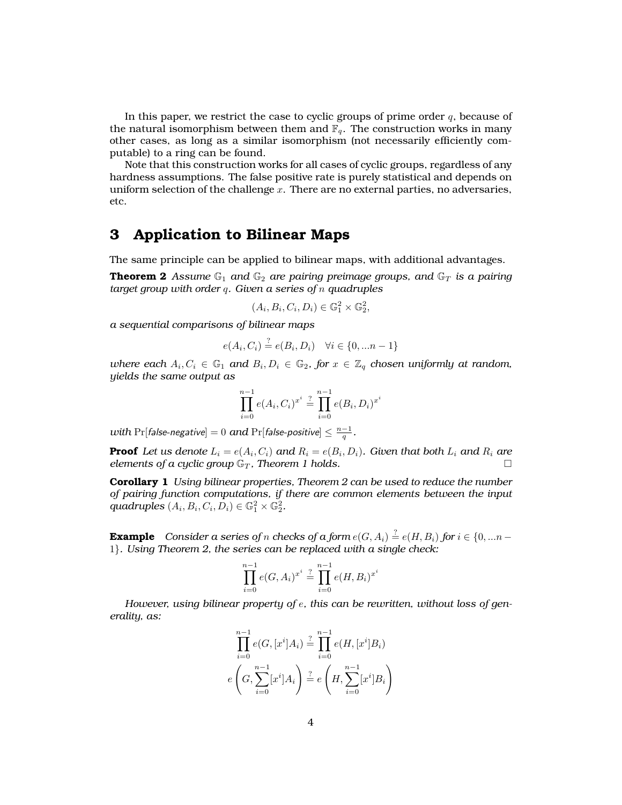In this paper, we restrict the case to cyclic groups of prime order  $q$ , because of the natural isomorphism between them and  $\mathbb{F}_q$ . The construction works in many other cases, as long as a similar isomorphism (not necessarily efficiently computable) to a ring can be found.

Note that this construction works for all cases of cyclic groups, regardless of any hardness assumptions. The false positive rate is purely statistical and depends on uniform selection of the challenge  $x$ . There are no external parties, no adversaries, etc.

### **3 Application to Bilinear Maps**

The same principle can be applied to bilinear maps, with additional advantages.

**Theorem 2** Assume  $\mathbb{G}_1$  and  $\mathbb{G}_2$  are pairing preimage groups, and  $\mathbb{G}_T$  is a pairing *target group with order* q*. Given a series of* n *quadruples*

$$
(A_i, B_i, C_i, D_i) \in \mathbb{G}_1^2 \times \mathbb{G}_2^2,
$$

*a sequential comparisons of bilinear maps*

$$
e(A_i, C_i) \stackrel{?}{=} e(B_i, D_i) \quad \forall i \in \{0, \dots n-1\}
$$

where each  $A_i, C_i \in \mathbb{G}_1$  and  $B_i, D_i \in \mathbb{G}_2$ , for  $x \in \mathbb{Z}_q$  chosen uniformly at random, *yields the same output as*

$$
\prod_{i=0}^{n-1} e(A_i, C_i)^{x^i} \stackrel{?}{=} \prod_{i=0}^{n-1} e(B_i, D_i)^x
$$

i

*with* Pr[false-negative] = 0 and Pr[false-positive]  $\leq \frac{n-1}{q}$ .

**Proof** Let us denote  $L_i = e(A_i, C_i)$  and  $R_i = e(B_i, D_i)$ . Given that both  $L_i$  and  $R_i$  are *elements of a cyclic group*  $\mathbb{G}_T$ *, Theorem 1 holds.* 

**Corollary 1** *Using bilinear properties, Theorem 2 can be used to reduce the number of pairing function computations, if there are common elements between the input*  $quadruples (A_i, B_i, C_i, D_i) \in \mathbb{G}_1^2 \times \mathbb{G}_2^2.$ 

**Example**  $\,$  *Consider a series of n checks of a form*  $e(G, A_i) \stackrel{?}{=} e(H, B_i)$  *for*  $i \in \{0, ... n - k\}$ 1}*. Using Theorem 2, the series can be replaced with a single check:*

$$
\prod_{i=0}^{n-1} e(G, A_i)^{x^i} \stackrel{?}{=} \prod_{i=0}^{n-1} e(H, B_i)^{x^i}
$$

*However, using bilinear property of* e*, this can be rewritten, without loss of generality, as:*

$$
\prod_{i=0}^{n-1} e(G, [x^i]A_i) \stackrel{?}{=} \prod_{i=0}^{n-1} e(H, [x^i]B_i)
$$

$$
e\left(G, \sum_{i=0}^{n-1} [x^i]A_i\right) \stackrel{?}{=} e\left(H, \sum_{i=0}^{n-1} [x^i]B_i\right)
$$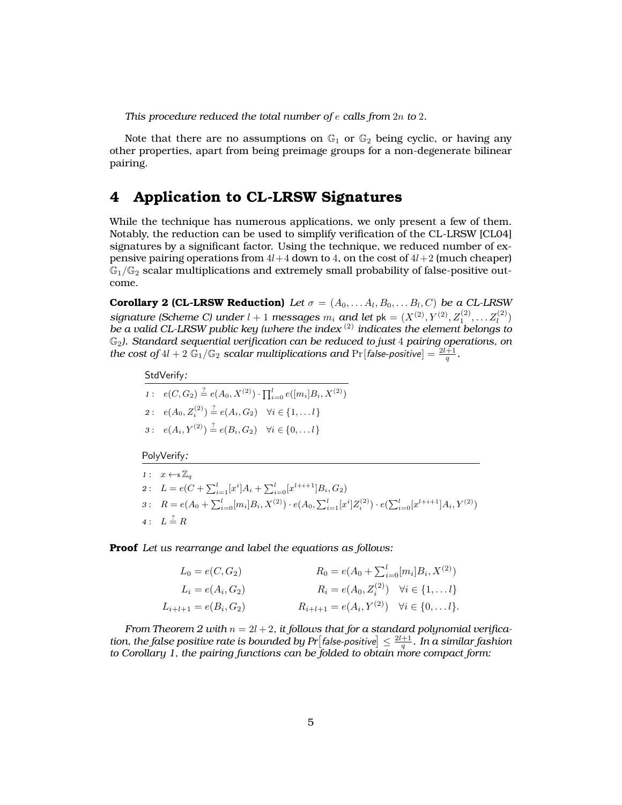*This procedure reduced the total number of* e *calls from* 2n *to* 2*.*

Note that there are no assumptions on  $\mathbb{G}_1$  or  $\mathbb{G}_2$  being cyclic, or having any other properties, apart from being preimage groups for a non-degenerate bilinear pairing.

# **4 Application to CL-LRSW Signatures**

While the technique has numerous applications, we only present a few of them. Notably, the reduction can be used to simplify verification of the CL-LRSW [CL04] signatures by a significant factor. Using the technique, we reduced number of expensive pairing operations from  $4l+4$  down to 4, on the cost of  $4l+2$  (much cheaper)  $\mathbb{G}_1/\mathbb{G}_2$  scalar multiplications and extremely small probability of false-positive outcome.

**Corollary 2 (CL-LRSW Reduction)** Let  $\sigma = (A_0, \ldots, A_l, B_0, \ldots, B_l, C)$  be a CL-LRSW signature (Scheme C) under  $l + 1$  messages  $m_i$  and let  $pk = (X^{(2)}, Y^{(2)}, Z^{(2)}_1, \ldots, Z^{(2)}_l)$ *be a valid CL-LRSW public key (where the index* (2) *indicates the element belongs to* G2*). Standard sequential verification can be reduced to just* 4 *pairing operations, on the cost of*  $4l + 2 \tilde{\mathbb{G}}_1/\mathbb{G}_2$  *scalar multiplications and*  $\Pr[\text{false-positive}] = \frac{2l+1}{q}$ .

#### StdVerify*:*

- 1:  $e(C, G_2) \stackrel{?}{=} e(A_0, X^{(2)}) \cdot \prod_{i=0}^l e([m_i]B_i, X^{(2)})$
- 2:  $e(A_0, Z_i^{(2)}) \stackrel{?}{=} e(A_i, G_2) \quad \forall i \in \{1, \dots l\}$
- $3: e(A_i, Y^{(2)}) \stackrel{?}{=} e(B_i, G_2) \quad \forall i \in \{0, \dots l\}$

PolyVerify*:*

*1* :  $x \leftarrow \mathbb{Z}_q$ 2:  $L = e(C + \sum_{i=1}^{l} [x^{i}]A_i + \sum_{i=0}^{l} [x^{l+i+1}]B_i, G_2)$ 3:  $R = e(A_0 + \sum_{i=0}^{l} [m_i]B_i, X^{(2)}) \cdot e(A_0, \sum_{i=1}^{l} [x^i]Z_i^{(2)}) \cdot e(\sum_{i=0}^{l} [x^{l+i+1}]A_i, Y^{(2)})$ 4:  $L \stackrel{?}{=} R$ 

**Proof** *Let us rearrange and label the equations as follows:*

| $L_0 = e(C, G_2)$         | $R_0 = e(A_0 + \sum_{i=0}^{l} [m_i] B_i, X^{(2)})$                |  |  |  |  |
|---------------------------|-------------------------------------------------------------------|--|--|--|--|
| $L_i = e(A_i, G_2)$       | $R_i = e(A_0, Z_i^{(2)}) \quad \forall i \in \{1, \dots l\}$      |  |  |  |  |
| $L_{i+l+1} = e(B_i, G_2)$ | $R_{i+l+1} = e(A_i, Y^{(2)}) \quad \forall i \in \{0, \dots l\}.$ |  |  |  |  |

*From Theorem 2 with*  $n = 2l + 2$ , *it follows that for a standard polynomial verifica*tion, the false positive rate is bounded by Pr $\left[\text{false-positive}\right] \leq \frac{2l+1}{q}$  . In a similar fashion *to Corollary 1, the pairing functions can be folded to obtain more compact form:*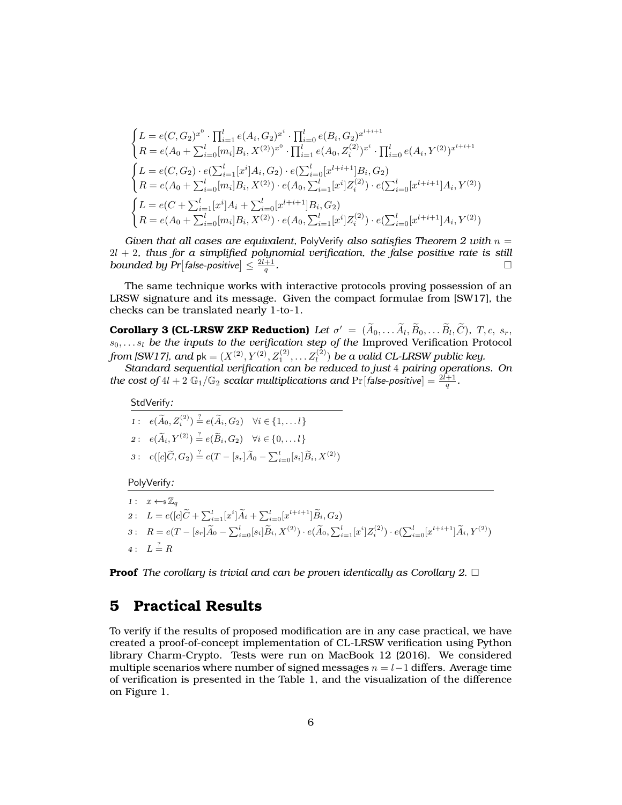$$
\begin{cases}\nL = e(C, G_2)^{x^0} \cdot \prod_{i=1}^l e(A_i, G_2)^{x^i} \cdot \prod_{i=0}^l e(B_i, G_2)^{x^{l+i+1}} \\
R = e(A_0 + \sum_{i=0}^l [m_i]B_i, X^{(2)})^{x^0} \cdot \prod_{i=1}^l e(A_0, Z_i^{(2)})^{x^i} \cdot \prod_{i=0}^l e(A_i, Y^{(2)})^{x^{l+i+1}} \\
L = e(C, G_2) \cdot e(\sum_{i=1}^l [x^i]A_i, G_2) \cdot e(\sum_{i=0}^l [x^{l+i+1}]B_i, G_2) \\
R = e(A_0 + \sum_{i=0}^l [m_i]B_i, X^{(2)}) \cdot e(A_0, \sum_{i=1}^l [x^i]Z_i^{(2)}) \cdot e(\sum_{i=0}^l [x^{l+i+1}]A_i, Y^{(2)}) \\
\begin{cases}\nL = e(C + \sum_{i=1}^l [x^i]A_i + \sum_{i=0}^l [x^{l+i+1}]B_i, G_2) \\
R = e(A_0 + \sum_{i=0}^l [m_i]B_i, X^{(2)}) \cdot e(A_0, \sum_{i=1}^l [x^i]Z_i^{(2)}) \cdot e(\sum_{i=0}^l [x^{l+i+1}]A_i, Y^{(2)})\n\end{cases}\n\end{cases}
$$

*Given that all cases are equivalent,* PolyVerify *also satisfies Theorem 2 with* n =  $2l + 2$ , thus for a simplified polynomial verification, the false positive rate is still *bounded by Pr*[false-positive]  $\leq \frac{2l+1}{q}$ *.*

The same technique works with interactive protocols proving possession of an LRSW signature and its message. Given the compact formulae from [SW17], the checks can be translated nearly 1-to-1.

**Corollary 3 (CL-LRSW ZKP Reduction)** Let  $\sigma' = (\tilde{A}_0, \ldots, \tilde{A}_l, \tilde{B}_0, \ldots, \tilde{B}_l, \tilde{C})$ , T, c, s<sub>r</sub>,  $s_0, \ldots s_l$  *be the inputs to the verification step of the Improved Verification Protocol* from [SW17], and  $\mathsf{pk} = (X^{(2)}, Y^{(2)}, Z^{(2)}_1, \dots Z^{(2)}_l)$  *be a valid CL-LRSW public key.* 

*Standard sequential verification can be reduced to just* 4 *pairing operations. On the cost of*  $4l + 2\ \mathbb{G}_1/\mathbb{G}_2$  *scalar multiplications and*  $\Pr[\mathit{false\text{-}positive}] = \frac{2l+1}{q}.$ 

StdVerify*:*

 $1: e(\widetilde{A}_0, Z_i^{(2)}) \stackrel{?}{=} e(\widetilde{A}_i, G_2) \quad \forall i \in \{1, \dots l\}$ 2:  $e(\widetilde{A}_i, Y^{(2)}) \stackrel{?}{=} e(\widetilde{B}_i, G_2) \quad \forall i \in \{0, \dots l\}$ 3:  $e([c]\tilde{C}, G_2) \stackrel{?}{=} e(T - [s_r]\tilde{A}_0 - \sum_{i=0}^l [s_i]\tilde{B}_i, X^{(2)})$ 

PolyVerify*:*

*1* :  $x \leftarrow \mathcal{Z}_q$ 2:  $L = e([c]\widetilde{C} + \sum_{i=1}^{l} [x^{i}]\widetilde{A}_{i} + \sum_{i=0}^{l} [x^{l+i+1}]\widetilde{B}_{i}, G_2)$ 3:  $R = e(T - [s_r]\widetilde{A}_0 - \sum_{i=0}^l [s_i]\widetilde{B}_i, X^{(2)}) \cdot e(\widetilde{A}_0, \sum_{i=1}^l [x^i]Z_i^{(2)}) \cdot e(\sum_{i=0}^l [x^{l+i+1}]\widetilde{A}_i, Y^{(2)})$ 4:  $L \stackrel{?}{=} R$ 

**Proof** *The corollary is trivial and can be proven identically as Corollary 2.*

### **5 Practical Results**

To verify if the results of proposed modification are in any case practical, we have created a proof-of-concept implementation of CL-LRSW verification using Python library Charm-Crypto. Tests were run on MacBook 12 (2016). We considered multiple scenarios where number of signed messages  $n = l-1$  differs. Average time of verification is presented in the Table 1, and the visualization of the difference on Figure 1.